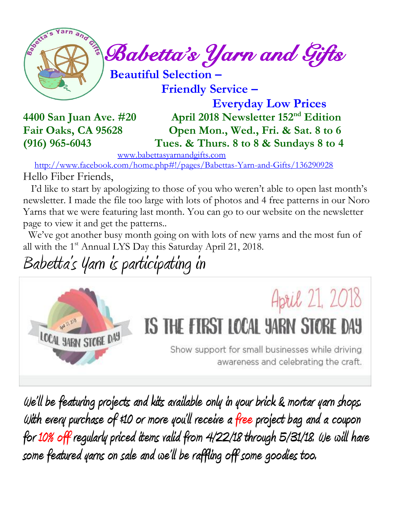

 **Friendly Service –**

 **Everyday Low Prices 4400 San Juan Ave. #20 April 2018 Newsletter 152 nd Edition Fair Oaks, CA 95628 Open Mon., Wed., Fri. & Sat. 8 to 6 (916) 965-6043 Tues. & Thurs. 8 to 8 & Sundays 8 to 4** 

[www.babettasyarnandgifts.com](http://www.babettasyarnandgifts.com/)

 <http://www.facebook.com/home.php#!/pages/Babettas-Yarn-and-Gifts/136290928> Hello Fiber Friends,

 I'd like to start by apologizing to those of you who weren't able to open last month's newsletter. I made the file too large with lots of photos and 4 free patterns in our Noro Yarns that we were featuring last month. You can go to our website on the newsletter page to view it and get the patterns..

 We've got another busy month going on with lots of new yarns and the most fun of all with the 1<sup>st</sup> Annual LYS Day this Saturday April 21, 2018.

Babetta's Yarn is participating in



**We'll be featuring projects and kits available only in your brick & mortar yarn shops. With every purchase of \$10 or more you'll receive a free project bag and a coupon for 10% off regularly priced items valid from 4/22/18 through 5/31/18. We will have some featured yarns on sale and we 'll be raffling off some goodies too.**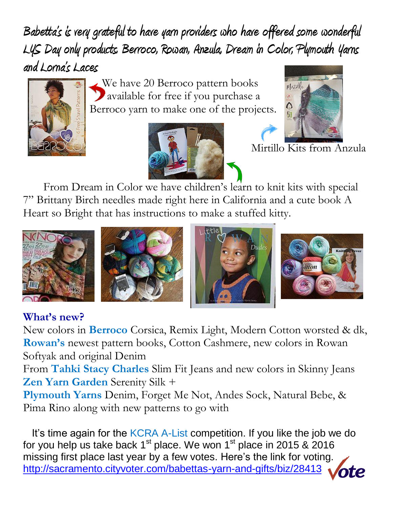**Babetta's is very grateful to have yarn providers who have offered some wonderful LYS Day only products. Berroco, Rowan, Anzula, Dream in Color, Plymouth Yarns and Lorna's Laces** 



We have 20 Berroco pattern books available for free if you purchase a Berroco yarn to make one of the projects.





Mirtillo Kits from Anzula

 From Dream in Color we have children's learn to knit kits with special 7" Brittany Birch needles made right here in California and a cute book A Heart so Bright that has instructions to make a stuffed kitty.









## **What's new?**

New colors in **Berroco** Corsica, Remix Light, Modern Cotton worsted & dk, **Rowan's** newest pattern books, Cotton Cashmere, new colors in Rowan Softyak and original Denim

From **Tahki Stacy Charles** Slim Fit Jeans and new colors in Skinny Jeans **Zen Yarn Garden** Serenity Silk +

**Plymouth Yarns** Denim, Forget Me Not, Andes Sock, Natural Bebe, & Pima Rino along with new patterns to go with

It's time again for the KCRA A-List competition. If you like the job we do for you help us take back  $1<sup>st</sup>$  place. We won  $1<sup>st</sup>$  place in 2015 & 2016 missing first place last year by a few votes. Here's the link for voting. <http://sacramento.cityvoter.com/babettas-yarn-and-gifts/biz/28413>**ote**